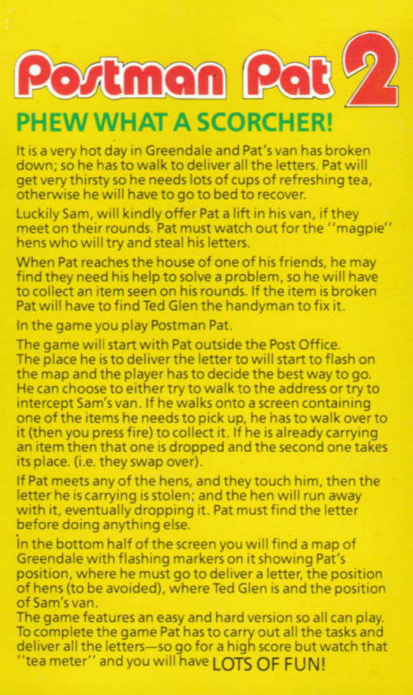Portman Pat



# **PHEW WHAT A SCORCHER!**

It is a very hot day in Greendale and Pat's van has broken down; so he has to walk to deliver all the letters. Pat will get very thirsty so he needs lots of cups of refreshing tea. otherwise he will have to go to bed to recover.

Luckily Sam, will kindly offer Pat a lift in his van, if they meet on their rounds. Pat must watch out for the "magpie" hens who will try and steal his letters.

When Pat reaches the house of one of his friends, he may find they need his help to solve a problem, so he will have to collect an item seen on his rounds. If the item is broken Pat will have to find Ted Glen the handyman to fix it.

In the game you play Postman Pat.

The game will start with Pat outside the Post Office. The place he is to deliver the letter to will start to flash on the map and the player has to decide the best way to go. He can choose to either try to walk to the address or try to intercept Sam's van. If he walks onto a screen containing one of the items he needs to pick up, he has to walk over to it (then you press fire) to collect it. If he is already carrying an item then that one is dropped and the second one takes its place. (i.e. they swap over).

If Pat meets any of the hens, and they touch him, then the letter he is carrying is stolen; and the hen will run away with it, eventually dropping it. Pat must find the letter before doing anything else.

in the bottom half of the screen you will find a map of Greendale with flashing markers on it showing Pat's position, where he must go to deliver a letter, the position of hens (to be avoided), where Ted Glen is and the position of Sam's van.

The game features an easy and hard version so all can play. To complete the game Pat has to carry out all the tasks and deliver all the letters-so go for a high score but watch that "tea meter" and you will have LOTS OF FUN!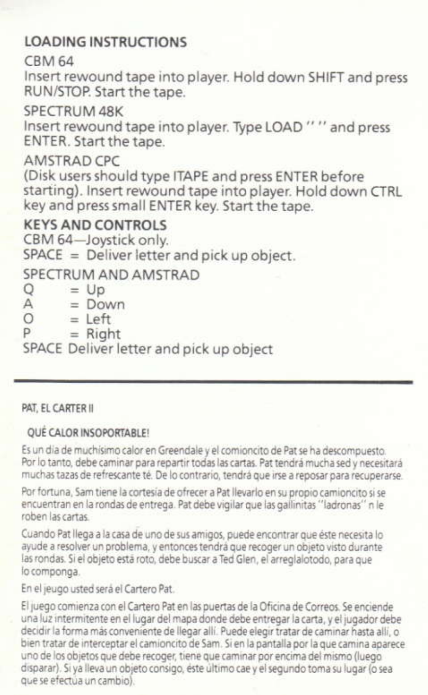## **LOADING INSTRUCTIONS**

#### **CRM 64**

Insert rewound tape into player. Hold down SHIFT and press RUN/STOP, Start the tape.

## SPECTRUM ARK

Insert rewound tape into player. Type LOAD "" and press ENTER, Start the tape

#### AMSTRAD CPC

(Disk users should type ITAPE and press ENTER before starting). Insert rewound tape into player. Hold down CTRL key and press small ENTER key. Start the tape

# **KEYS AND CONTROLS**

CBM 64-Joystick only.  $SPACE = Deliver letter$  and pick up object.

# SPECTRUM AND AMSTRAD

 $\circ$  $=$  Up  $\Delta$  $=$  Down  $\circ$  $=$  Left p  $=$  Right SPACE Deliver letter and pick up object

#### PAT. EL CARTER II

#### **OUÉ CALOR INSOPORTABLE!**

Es un dia de muchisimo calor en Greendale y el comioncito de Pat se ha descompuesto. Por lo tanto, debe caminar para repartir todas las cartas. Pat tendrá mucha sed y necesitará muchas tazas de refrescante té. De lo contrario, tendrá que irse a reposar para recuperarse.

Por fortuna. Sam tiene la cortesia de ofrecer a Pat llevarlo en su propio camioncito si se encuentran en la rondas de entrega. Pat debe vigilar que las gallinitas "ladronas" n le roben las cartas.

Cuando Pat llega a la casa de uno de sus amigos, puede encontrar que éste necesita lo ayude a resolver un problema, y entonces tendrá que recoger un objeto visto durante las rondas. Si el objeto está roto, debe buscar a Ted Glen, el arreglalotodo, para que lo componea

En el jeugo usted será el Cartero Pat.

El juego comienza con el Cartero Pat en las puertas de la Oficina de Correos. Se enciende una luz intermitente en el lugar del mana donde debe entrepar la carta, y el jugador debe decidir la forma más conveniente de llegar allí. Puede elegir tratar de caminar hasta allí, o bien tratar de interceptar el camioncito de Sam. Si en la pantalla por la que camina aparece uno de los objetos que debe recoger, tiene que caminar por encima del mismo (luego disparar). Si va lleva un objeto consigo, este último cae y el segundo toma su lugar (o sea que se efectua un cambio).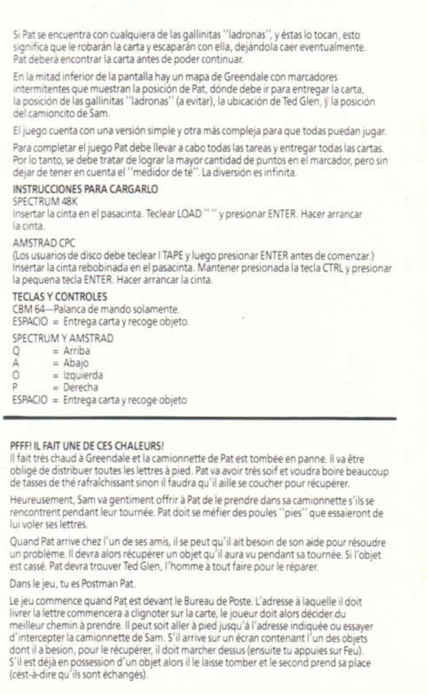Si Pat se encuentra con cualquiera de las gallinitas "ladronas", y éstas lo tocan, esto significa que le robarán la carta y escaparán con ella, dejándola caer eventualmente. Pat deberá encontrar la carta antes de poder continuar.

En la mitad inferior de la pantalla hay un mapa de Greendale con marcadores intermitentes que muestran la posición de Pat, dónde debe ir para entrepar la carta. la posición de las gallinitas "ladronas" (a evitar), la ubicación de Ted Glen, y la posición del camioncito de Sam

El juego cuenta con una versión simple y otra más compleja para que todas puedan jugar

Para completar el juego Pat debe llevar a cabo todas las tareas y entregar todas las cartas Por lo tanto, se debe tratar de lograr la mayor cantidad de puntos en el marcador, pero sin deiar de tener en cuenta el "medidor de té". La diversión es infinita.

#### INSTRUCCIONES PARA CARGARIO

**SPECTRUM ARK** Insertar la cinta en el pasacinta. Teclear LOAD "" y presionar ENTER. Hacer arrancar la cinta

#### AMSTRAD CPC

(Los usuarios de disco debe teclear I TAPE y luego presionar ENTER antes de comenzar.) Insertar la cinta rebobinada en el pasacinta. Mantener presionada la tecla CTRL y presionar la pequena tecla ENTER. Hacer arrançar la cinta.

#### TECLAS V CONTROLES

CRM 64-Palanca de mando solamente ESPACIO = Entrega carta y recoge objeto.

SPECTRUM Y AMSTRAD

- $\Omega$  $-$  Arriba
- Ă  $= Abaio$
- $\Omega$  $=$  Izquierda
- p  $-$  Derecha

ESPACIO = Entrega carta y recoge objeto

#### PEERLIL FAIT UNE DE CES CHALFURS!

Il fait très chaud à Greendale et la camionnette de Pat est tombée en panne. Il va être obligé de distribuer toutes les lettres à gied. Pat va avoir très soif et voudra boire beaucoup de tasses de thé rafraichissant sinon il faudra qu'il aille se coucher pour récupérer.

Heureusement. Sam va gentiment offrir à Pat de le prendre dans sa camionnette s'ils se rencontrent pendant leur tournée. Pat doit se méfier des poules "pies" que essaieront de lui voler ses lettres.

Quand Pat arrive chez l'un de ses amis, il se peut qu'il ait besoin de son aide pour résoudre un problème. Il devra alors récupérer un objet qu'il aura vu pendant sa tournée. Si l'objet est cassé. Pat devra trouver Ted Gien, l'homme à tout faire pour le réparer.

Dans le jeu, tu es Postman Pat.

Le jeu commence quand Pat est devant le Bureau de Poste. L'adresse à laquelle il doit livrer la lettre commencera a clignoter sur la carte, le joueur doit alors décider du meilleur chemin à prendre. Il peut soit aller à pied jusqu'à l'adresse indiquée ou essayer d'intercepter la camionnette de Sam. S'il arrive sur un écran contenant l'un des objets dont il a besion, pour le récupérer, il doit marcher dessus (ensuite tu appuies sur Feu). S'il est déjà en possession d'un objet alors il le laisse tomber et le second prend sa place (cést-à-dire qu'ils sont échangés).